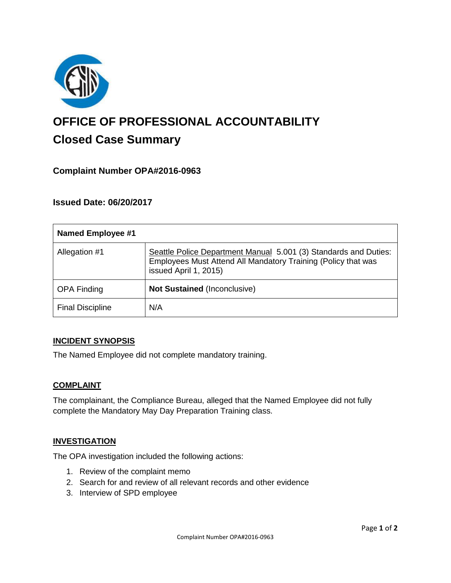

# **OFFICE OF PROFESSIONAL ACCOUNTABILITY Closed Case Summary**

# **Complaint Number OPA#2016-0963**

# **Issued Date: 06/20/2017**

| <b>Named Employee #1</b> |                                                                                                                                                            |
|--------------------------|------------------------------------------------------------------------------------------------------------------------------------------------------------|
| Allegation #1            | Seattle Police Department Manual 5.001 (3) Standards and Duties:<br>Employees Must Attend All Mandatory Training (Policy that was<br>issued April 1, 2015) |
| <b>OPA Finding</b>       | Not Sustained (Inconclusive)                                                                                                                               |
| <b>Final Discipline</b>  | N/A                                                                                                                                                        |

#### **INCIDENT SYNOPSIS**

The Named Employee did not complete mandatory training.

#### **COMPLAINT**

The complainant, the Compliance Bureau, alleged that the Named Employee did not fully complete the Mandatory May Day Preparation Training class.

#### **INVESTIGATION**

The OPA investigation included the following actions:

- 1. Review of the complaint memo
- 2. Search for and review of all relevant records and other evidence
- 3. Interview of SPD employee